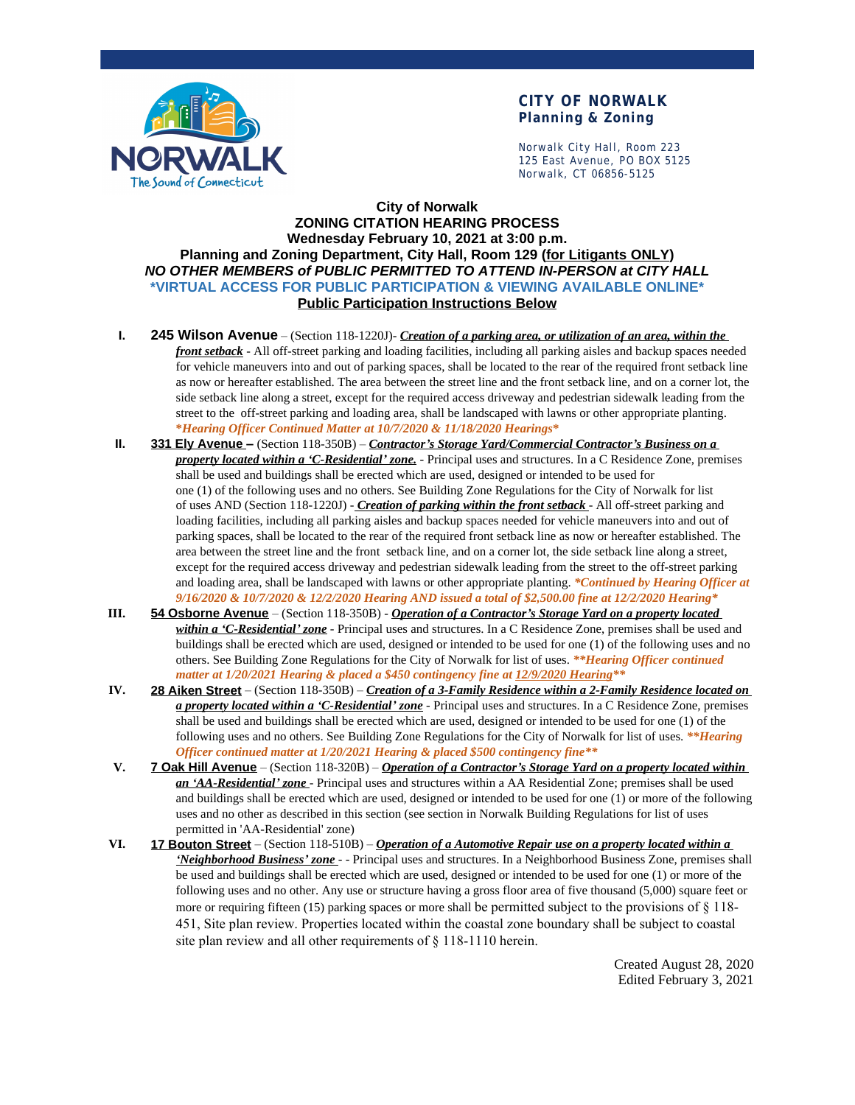

### **CITY OF NORWALK Planning & Zoning**

Norwalk City Hall, Room 223 125 East Avenue, PO BOX 5125 Norwalk, CT 06856-5125

#### **City of Norwalk ZONING CITATION HEARING PROCESS Wednesday February 10, 2021 at 3:00 p.m. Planning and Zoning Department, City Hall, Room 129 (for Litigants ONLY)** *NO OTHER MEMBERS of PUBLIC PERMITTED TO ATTEND IN-PERSON at CITY HALL* **\*VIRTUAL ACCESS FOR PUBLIC PARTICIPATION & VIEWING AVAILABLE ONLINE\* Public Participation Instructions Below**

- **I. 245 Wilson Avenue** (Section 118-1220J)- *Creation of a parking area, or utilization of an area, within the front setback* - All off-street parking and loading facilities, including all parking aisles and backup spaces needed for vehicle maneuvers into and out of parking spaces, shall be located to the rear of the required front setback line as now or hereafter established. The area between the street line and the front setback line, and on a corner lot, the side setback line along a street, except for the required access driveway and pedestrian sidewalk leading from the street to the off-street parking and loading area, shall be landscaped with lawns or other appropriate planting. **\****Hearing Officer Continued Matter at 10/7/2020 & 11/18/2020 Hearings***\***
- **II. 331 Ely Avenue –** (Section 118-350B) *Contractor's Storage Yard/Commercial Contractor's Business on a property located within a 'C-Residential' zone.* - Principal uses and structures. In a C Residence Zone, premises shall be used and buildings shall be erected which are used, designed or intended to be used for one (1) of the following uses and no others. See Building Zone Regulations for the City of Norwalk for list of uses AND (Section 118-1220J) - *Creation of parking within the front setback* - All off-street parking and loading facilities, including all parking aisles and backup spaces needed for vehicle maneuvers into and out of parking spaces, shall be located to the rear of the required front setback line as now or hereafter established. The area between the street line and the front setback line, and on a corner lot, the side setback line along a street, except for the required access driveway and pedestrian sidewalk leading from the street to the off-street parking and loading area, shall be landscaped with lawns or other appropriate planting. *\*Continued by Hearing Officer at 9/16/2020 & 10/7/2020 & 12/2/2020 Hearing AND issued a total of \$2,500.00 fine at 12/2/2020 Hearing\**
- **III. 54 Osborne Avenue** (Section 118-350B) *Operation of a Contractor's Storage Yard on a property located within a 'C-Residential' zone* - Principal uses and structures. In a C Residence Zone, premises shall be used and buildings shall be erected which are used, designed or intended to be used for one (1) of the following uses and no others. See Building Zone Regulations for the City of Norwalk for list of uses. *\*\*Hearing Officer continued matter at 1/20/2021 Hearing & placed a \$450 contingency fine at 12/9/2020 Hearing\*\**
- **IV. 28 Aiken Street** (Section 118-350B) *Creation of a 3-Family Residence within a 2-Family Residence located on a property located within a 'C-Residential' zone* - Principal uses and structures. In a C Residence Zone, premises shall be used and buildings shall be erected which are used, designed or intended to be used for one (1) of the following uses and no others. See Building Zone Regulations for the City of Norwalk for list of uses. *\*\*Hearing Officer continued matter at 1/20/2021 Hearing & placed \$500 contingency fine\*\**
- **V. 7 Oak Hill Avenue** (Section 118-320B) *Operation of a Contractor's Storage Yard on a property located within an 'AA-Residential' zone* - Principal uses and structures within a AA Residential Zone; premises shall be used and buildings shall be erected which are used, designed or intended to be used for one (1) or more of the following uses and no other as described in this section (see section in Norwalk Building Regulations for list of uses permitted in 'AA-Residential' zone)
- **VI. 17 Bouton Street** (Section 118-510B) *Operation of a Automotive Repair use on a property located within a 'Neighborhood Business' zone* - - Principal uses and structures. In a Neighborhood Business Zone, premises shall be used and buildings shall be erected which are used, designed or intended to be used for one (1) or more of the following uses and no other. Any use or structure having a gross floor area of five thousand (5,000) square feet or more or requiring fifteen (15) parking spaces or more shall be permitted subject to the provisions of  $\S$  118-451, Site plan review. Properties located within the coastal zone boundary shall be subject to coastal site plan review and all other requirements of § 118-1110 herein.

Created August 28, 2020 Edited February 3, 2021